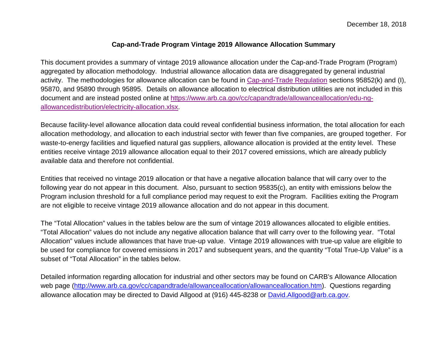## **Cap-and-Trade Program Vintage 2019 Allowance Allocation Summary**

This document provides a summary of vintage 2019 allowance allocation under the Cap-and-Trade Program (Program) aggregated by allocation methodology. Industrial allowance allocation data are disaggregated by general industrial activity. The methodologies for allowance allocation can be found in [Cap-and-Trade Regulation](https://www.arb.ca.gov/cc/capandtrade/capandtrade/ct_reg_2018_unofficialv2.pdf) sections 95852(k) and (I), 95870, and 95890 through 95895. Details on allowance allocation to electrical distribution utilities are not included in this document and are instead posted online at [https://www.arb.ca.gov/cc/capandtrade/allowanceallocation/edu-ng](https://www.arb.ca.gov/cc/capandtrade/allowanceallocation/edu-ng-allowancedistribution/electricity-allocation.xlsx)[allowancedistribution/electricity-allocation.xlsx.](https://www.arb.ca.gov/cc/capandtrade/allowanceallocation/edu-ng-allowancedistribution/electricity-allocation.xlsx)

Because facility-level allowance allocation data could reveal confidential business information, the total allocation for each allocation methodology, and allocation to each industrial sector with fewer than five companies, are grouped together. For waste-to-energy facilities and liquefied natural gas suppliers, allowance allocation is provided at the entity level. These entities receive vintage 2019 allowance allocation equal to their 2017 covered emissions, which are already publicly available data and therefore not confidential.

Entities that received no vintage 2019 allocation or that have a negative allocation balance that will carry over to the following year do not appear in this document. Also, pursuant to section 95835(c), an entity with emissions below the Program inclusion threshold for a full compliance period may request to exit the Program. Facilities exiting the Program are not eligible to receive vintage 2019 allowance allocation and do not appear in this document.

The "Total Allocation" values in the tables below are the sum of vintage 2019 allowances allocated to eligible entities. "Total Allocation" values do not include any negative allocation balance that will carry over to the following year. "Total Allocation" values include allowances that have true-up value. Vintage 2019 allowances with true-up value are eligible to be used for compliance for covered emissions in 2017 and subsequent years, and the quantity "Total True-Up Value" is a subset of "Total Allocation" in the tables below.

Detailed information regarding allocation for industrial and other sectors may be found on CARB's Allowance Allocation web page [\(http://www.arb.ca.gov/cc/capandtrade/allowanceallocation/allowanceallocation.htm\)](http://www.arb.ca.gov/cc/capandtrade/allowanceallocation/allowanceallocation.htm). Questions regarding allowance allocation may be directed to David Allgood at (916) 445-8238 or [David.Allgood@arb.ca.gov.](mailto:David.Allgood@arb.ca.gov)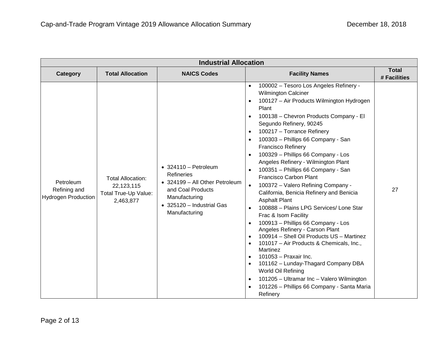| <b>Industrial Allocation</b>                            |                                                                             |                                                                                                                                                                  |                                                                                                                                                                                                                                                                                                                                                                                                                                                                                                                                                                                                                                                                                                                                                                                                                                                                                                                                                                                                                                                                                                                                                                                                                              |                              |
|---------------------------------------------------------|-----------------------------------------------------------------------------|------------------------------------------------------------------------------------------------------------------------------------------------------------------|------------------------------------------------------------------------------------------------------------------------------------------------------------------------------------------------------------------------------------------------------------------------------------------------------------------------------------------------------------------------------------------------------------------------------------------------------------------------------------------------------------------------------------------------------------------------------------------------------------------------------------------------------------------------------------------------------------------------------------------------------------------------------------------------------------------------------------------------------------------------------------------------------------------------------------------------------------------------------------------------------------------------------------------------------------------------------------------------------------------------------------------------------------------------------------------------------------------------------|------------------------------|
| <b>Category</b>                                         | <b>Total Allocation</b>                                                     | <b>NAICS Codes</b>                                                                                                                                               | <b>Facility Names</b>                                                                                                                                                                                                                                                                                                                                                                                                                                                                                                                                                                                                                                                                                                                                                                                                                                                                                                                                                                                                                                                                                                                                                                                                        | <b>Total</b><br># Facilities |
| Petroleum<br>Refining and<br><b>Hydrogen Production</b> | <b>Total Allocation:</b><br>22,123,115<br>Total True-Up Value:<br>2,463,877 | $\bullet$ 324110 - Petroleum<br>Refineries<br>• 324199 - All Other Petroleum<br>and Coal Products<br>Manufacturing<br>• 325120 - Industrial Gas<br>Manufacturing | 100002 - Tesoro Los Angeles Refinery -<br>$\bullet$<br><b>Wilmington Calciner</b><br>100127 - Air Products Wilmington Hydrogen<br>$\bullet$<br>Plant<br>100138 - Chevron Products Company - El<br>$\bullet$<br>Segundo Refinery, 90245<br>100217 - Torrance Refinery<br>$\bullet$<br>100303 - Phillips 66 Company - San<br>$\bullet$<br><b>Francisco Refinery</b><br>100329 - Phillips 66 Company - Los<br>$\bullet$<br>Angeles Refinery - Wilmington Plant<br>100351 - Phillips 66 Company - San<br>$\bullet$<br><b>Francisco Carbon Plant</b><br>100372 - Valero Refining Company -<br>$\bullet$<br>California, Benicia Refinery and Benicia<br><b>Asphalt Plant</b><br>100888 - Plains LPG Services/ Lone Star<br>$\bullet$<br>Frac & Isom Facility<br>100913 - Phillips 66 Company - Los<br>$\bullet$<br>Angeles Refinery - Carson Plant<br>100914 - Shell Oil Products US - Martinez<br>$\bullet$<br>101017 - Air Products & Chemicals, Inc.,<br>$\bullet$<br>Martinez<br>101053 - Praxair Inc.<br>$\bullet$<br>101162 - Lunday-Thagard Company DBA<br>$\bullet$<br>World Oil Refining<br>101205 - Ultramar Inc - Valero Wilmington<br>$\bullet$<br>101226 - Phillips 66 Company - Santa Maria<br>$\bullet$<br>Refinery | 27                           |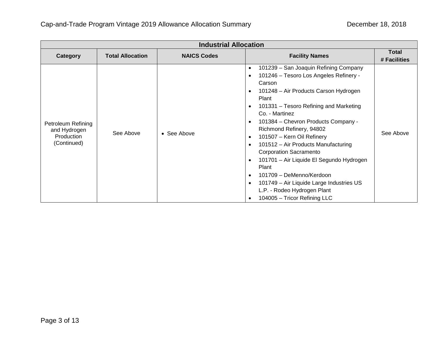| <b>Industrial Allocation</b>                                    |                         |                    |                                                                                                                                                                                                                                                                                                                                                                                                                                                                                                                                                                                                                                                                                                                             |                       |
|-----------------------------------------------------------------|-------------------------|--------------------|-----------------------------------------------------------------------------------------------------------------------------------------------------------------------------------------------------------------------------------------------------------------------------------------------------------------------------------------------------------------------------------------------------------------------------------------------------------------------------------------------------------------------------------------------------------------------------------------------------------------------------------------------------------------------------------------------------------------------------|-----------------------|
| Category                                                        | <b>Total Allocation</b> | <b>NAICS Codes</b> | <b>Facility Names</b>                                                                                                                                                                                                                                                                                                                                                                                                                                                                                                                                                                                                                                                                                                       | Total<br># Facilities |
| Petroleum Refining<br>and Hydrogen<br>Production<br>(Continued) | See Above               | • See Above        | 101239 - San Joaquin Refining Company<br>$\bullet$<br>101246 - Tesoro Los Angeles Refinery -<br>$\bullet$<br>Carson<br>101248 - Air Products Carson Hydrogen<br>$\bullet$<br>Plant<br>101331 - Tesoro Refining and Marketing<br>$\bullet$<br>Co. - Martinez<br>101384 - Chevron Products Company -<br>$\bullet$<br>Richmond Refinery, 94802<br>101507 - Kern Oil Refinery<br>$\bullet$<br>101512 - Air Products Manufacturing<br>$\bullet$<br><b>Corporation Sacramento</b><br>101701 - Air Liquide El Segundo Hydrogen<br>$\bullet$<br>Plant<br>101709 - DeMenno/Kerdoon<br>$\bullet$<br>101749 - Air Liquide Large Industries US<br>$\bullet$<br>L.P. - Rodeo Hydrogen Plant<br>104005 - Tricor Refining LLC<br>$\bullet$ | See Above             |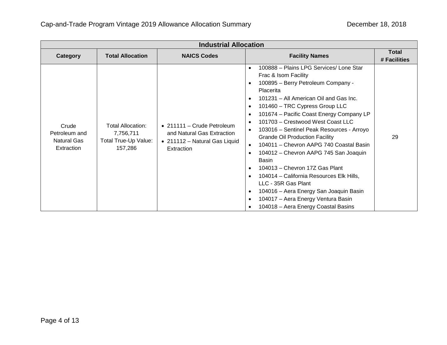| <b>Industrial Allocation</b>                        |                                                                          |                                                                                                         |                                                                                                                                                                                                                                                                                                                                                                                                                                                                                                                                                                                                                                                                                                                                                                                                                                               |                       |
|-----------------------------------------------------|--------------------------------------------------------------------------|---------------------------------------------------------------------------------------------------------|-----------------------------------------------------------------------------------------------------------------------------------------------------------------------------------------------------------------------------------------------------------------------------------------------------------------------------------------------------------------------------------------------------------------------------------------------------------------------------------------------------------------------------------------------------------------------------------------------------------------------------------------------------------------------------------------------------------------------------------------------------------------------------------------------------------------------------------------------|-----------------------|
| Category                                            | <b>Total Allocation</b>                                                  | <b>NAICS Codes</b>                                                                                      | <b>Facility Names</b>                                                                                                                                                                                                                                                                                                                                                                                                                                                                                                                                                                                                                                                                                                                                                                                                                         | Total<br># Facilities |
| Crude<br>Petroleum and<br>Natural Gas<br>Extraction | <b>Total Allocation:</b><br>7,756,711<br>Total True-Up Value:<br>157,286 | • 211111 - Crude Petroleum<br>and Natural Gas Extraction<br>• 211112 - Natural Gas Liquid<br>Extraction | 100888 - Plains LPG Services/ Lone Star<br>$\bullet$<br>Frac & Isom Facility<br>100895 - Berry Petroleum Company -<br>$\bullet$<br>Placerita<br>101231 - All American Oil and Gas Inc.<br>$\bullet$<br>101460 - TRC Cypress Group LLC<br>$\bullet$<br>101674 - Pacific Coast Energy Company LP<br>$\bullet$<br>101703 - Crestwood West Coast LLC<br>103016 - Sentinel Peak Resources - Arroyo<br><b>Grande Oil Production Facility</b><br>104011 - Chevron AAPG 740 Coastal Basin<br>104012 - Chevron AAPG 745 San Joaquin<br>$\bullet$<br>Basin<br>104013 - Chevron 17Z Gas Plant<br>$\bullet$<br>104014 - California Resources Elk Hills,<br>$\bullet$<br>LLC - 35R Gas Plant<br>104016 - Aera Energy San Joaquin Basin<br>$\bullet$<br>104017 - Aera Energy Ventura Basin<br>$\bullet$<br>104018 - Aera Energy Coastal Basins<br>$\bullet$ | 29                    |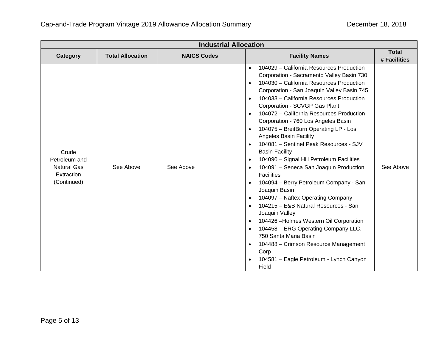| <b>Industrial Allocation</b>                                              |                         |                    |                                                                                                                                                                                                                                                                                                                                                                                                                                                                                                                                                                                                                                                                                                                                                                                                                                                                                                                                                                                                                                                                                                        |                              |
|---------------------------------------------------------------------------|-------------------------|--------------------|--------------------------------------------------------------------------------------------------------------------------------------------------------------------------------------------------------------------------------------------------------------------------------------------------------------------------------------------------------------------------------------------------------------------------------------------------------------------------------------------------------------------------------------------------------------------------------------------------------------------------------------------------------------------------------------------------------------------------------------------------------------------------------------------------------------------------------------------------------------------------------------------------------------------------------------------------------------------------------------------------------------------------------------------------------------------------------------------------------|------------------------------|
| Category                                                                  | <b>Total Allocation</b> | <b>NAICS Codes</b> | <b>Facility Names</b>                                                                                                                                                                                                                                                                                                                                                                                                                                                                                                                                                                                                                                                                                                                                                                                                                                                                                                                                                                                                                                                                                  | <b>Total</b><br># Facilities |
| Crude<br>Petroleum and<br><b>Natural Gas</b><br>Extraction<br>(Continued) | See Above               | See Above          | 104029 - California Resources Production<br>$\bullet$<br>Corporation - Sacramento Valley Basin 730<br>104030 - California Resources Production<br>$\bullet$<br>Corporation - San Joaquin Valley Basin 745<br>104033 - California Resources Production<br>$\bullet$<br>Corporation - SCVGP Gas Plant<br>104072 - California Resources Production<br>$\bullet$<br>Corporation - 760 Los Angeles Basin<br>104075 - BreitBurn Operating LP - Los<br>$\bullet$<br><b>Angeles Basin Facility</b><br>104081 - Sentinel Peak Resources - SJV<br>$\bullet$<br><b>Basin Facility</b><br>104090 - Signal Hill Petroleum Facilities<br>$\bullet$<br>104091 - Seneca San Joaquin Production<br><b>Facilities</b><br>104094 - Berry Petroleum Company - San<br>Joaquin Basin<br>104097 - Naftex Operating Company<br>104215 - E&B Natural Resources - San<br>$\bullet$<br>Joaquin Valley<br>104426 - Holmes Western Oil Corporation<br>$\bullet$<br>104458 - ERG Operating Company LLC.<br>750 Santa Maria Basin<br>104488 - Crimson Resource Management<br>Corp<br>104581 - Eagle Petroleum - Lynch Canyon<br>Field | See Above                    |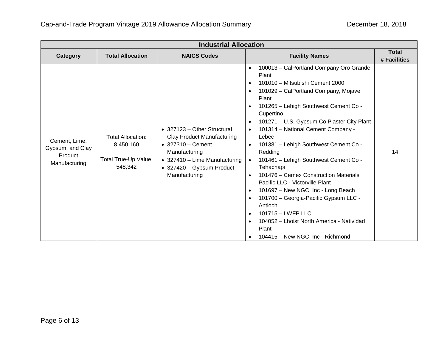| <b>Industrial Allocation</b>                                  |                                                                   |                                                                                                                                                                                               |                                                                                                                                                                                                                                                                                                                                                                                                                                                                                                                                                                                                                                                                                                                                                                                                                                                                 |                              |
|---------------------------------------------------------------|-------------------------------------------------------------------|-----------------------------------------------------------------------------------------------------------------------------------------------------------------------------------------------|-----------------------------------------------------------------------------------------------------------------------------------------------------------------------------------------------------------------------------------------------------------------------------------------------------------------------------------------------------------------------------------------------------------------------------------------------------------------------------------------------------------------------------------------------------------------------------------------------------------------------------------------------------------------------------------------------------------------------------------------------------------------------------------------------------------------------------------------------------------------|------------------------------|
| Category                                                      | <b>Total Allocation</b>                                           | <b>NAICS Codes</b>                                                                                                                                                                            | <b>Facility Names</b>                                                                                                                                                                                                                                                                                                                                                                                                                                                                                                                                                                                                                                                                                                                                                                                                                                           | <b>Total</b><br># Facilities |
| Cement, Lime,<br>Gypsum, and Clay<br>Product<br>Manufacturing | Total Allocation:<br>8,450,160<br>Total True-Up Value:<br>548,342 | • 327123 - Other Structural<br><b>Clay Product Manufacturing</b><br>$\bullet$ 327310 - Cement<br>Manufacturing<br>• 327410 - Lime Manufacturing<br>• 327420 - Gypsum Product<br>Manufacturing | 100013 - CalPortland Company Oro Grande<br>$\bullet$<br>Plant<br>101010 - Mitsubishi Cement 2000<br>$\bullet$<br>101029 - CalPortland Company, Mojave<br>$\bullet$<br>Plant<br>101265 - Lehigh Southwest Cement Co -<br>$\bullet$<br>Cupertino<br>101271 - U.S. Gypsum Co Plaster City Plant<br>$\bullet$<br>101314 - National Cement Company -<br>$\bullet$<br>Lebec<br>101381 - Lehigh Southwest Cement Co -<br>$\bullet$<br>Redding<br>101461 - Lehigh Southwest Cement Co -<br>$\bullet$<br>Tehachapi<br>101476 – Cemex Construction Materials<br>$\bullet$<br>Pacific LLC - Victorville Plant<br>101697 - New NGC, Inc - Long Beach<br>$\bullet$<br>101700 - Georgia-Pacific Gypsum LLC -<br>$\bullet$<br>Antioch<br>101715 - LWFP LLC<br>$\bullet$<br>104052 - Lhoist North America - Natividad<br>$\bullet$<br>Plant<br>104415 - New NGC, Inc - Richmond | 14                           |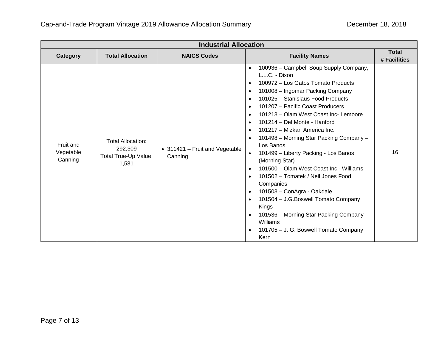| <b>Industrial Allocation</b>      |                                                                      |                                           |                                                                                                                                                                                                                                                                                                                                                                                                                                                                                                                                                                                                                                                                                                                                                                                                                                                                                                                                             |                              |
|-----------------------------------|----------------------------------------------------------------------|-------------------------------------------|---------------------------------------------------------------------------------------------------------------------------------------------------------------------------------------------------------------------------------------------------------------------------------------------------------------------------------------------------------------------------------------------------------------------------------------------------------------------------------------------------------------------------------------------------------------------------------------------------------------------------------------------------------------------------------------------------------------------------------------------------------------------------------------------------------------------------------------------------------------------------------------------------------------------------------------------|------------------------------|
| Category                          | <b>Total Allocation</b>                                              | <b>NAICS Codes</b>                        | <b>Facility Names</b>                                                                                                                                                                                                                                                                                                                                                                                                                                                                                                                                                                                                                                                                                                                                                                                                                                                                                                                       | <b>Total</b><br># Facilities |
| Fruit and<br>Vegetable<br>Canning | <b>Total Allocation:</b><br>292,309<br>Total True-Up Value:<br>1,581 | • 311421 - Fruit and Vegetable<br>Canning | 100936 - Campbell Soup Supply Company,<br>$\bullet$<br>L.L.C. - Dixon<br>100972 - Los Gatos Tomato Products<br>$\bullet$<br>101008 - Ingomar Packing Company<br>$\bullet$<br>101025 - Stanislaus Food Products<br>$\bullet$<br>101207 - Pacific Coast Producers<br>$\bullet$<br>101213 - Olam West Coast Inc- Lemoore<br>$\bullet$<br>101214 - Del Monte - Hanford<br>$\bullet$<br>101217 - Mizkan America Inc.<br>$\bullet$<br>101498 - Morning Star Packing Company -<br>$\bullet$<br>Los Banos<br>101499 - Liberty Packing - Los Banos<br>$\bullet$<br>(Morning Star)<br>101500 - Olam West Coast Inc - Williams<br>$\bullet$<br>101502 - Tomatek / Neil Jones Food<br>$\bullet$<br>Companies<br>101503 - ConAgra - Oakdale<br>$\bullet$<br>101504 - J.G. Boswell Tomato Company<br>$\bullet$<br>Kings<br>101536 - Morning Star Packing Company -<br>$\bullet$<br>Williams<br>101705 - J. G. Boswell Tomato Company<br>$\bullet$<br>Kern | 16                           |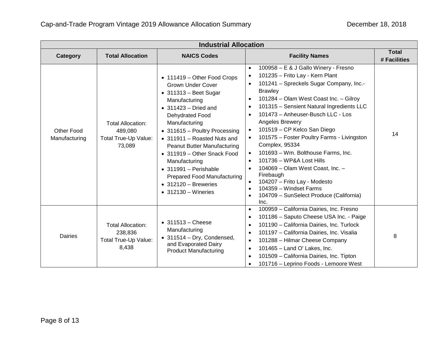| <b>Industrial Allocation</b> |                                                                       |                                                                                                                                                                                                                                                                                                                                                                                                                                                                           |                                                                                                                                                                                                                                                                                                                                                                                                                                                                                                                                                                                                                                                                                                                                         |                              |
|------------------------------|-----------------------------------------------------------------------|---------------------------------------------------------------------------------------------------------------------------------------------------------------------------------------------------------------------------------------------------------------------------------------------------------------------------------------------------------------------------------------------------------------------------------------------------------------------------|-----------------------------------------------------------------------------------------------------------------------------------------------------------------------------------------------------------------------------------------------------------------------------------------------------------------------------------------------------------------------------------------------------------------------------------------------------------------------------------------------------------------------------------------------------------------------------------------------------------------------------------------------------------------------------------------------------------------------------------------|------------------------------|
| Category                     | <b>Total Allocation</b>                                               | <b>NAICS Codes</b>                                                                                                                                                                                                                                                                                                                                                                                                                                                        | <b>Facility Names</b>                                                                                                                                                                                                                                                                                                                                                                                                                                                                                                                                                                                                                                                                                                                   | <b>Total</b><br># Facilities |
| Other Food<br>Manufacturing  | <b>Total Allocation:</b><br>489,080<br>Total True-Up Value:<br>73,089 | • 111419 - Other Food Crops<br><b>Grown Under Cover</b><br>$\bullet$ 311313 - Beet Sugar<br>Manufacturing<br>$\bullet$ 311423 – Dried and<br>Dehydrated Food<br>Manufacturing<br>• 311615 - Poultry Processing<br>• 311911 - Roasted Nuts and<br><b>Peanut Butter Manufacturing</b><br>• 311919 - Other Snack Food<br>Manufacturing<br>$\bullet$ 311991 - Perishable<br><b>Prepared Food Manufacturing</b><br>$\bullet$ 312120 - Breweries<br>$\bullet$ 312130 – Wineries | 100958 - E & J Gallo Winery - Fresno<br>$\bullet$<br>101235 - Frito Lay - Kern Plant<br>$\bullet$<br>101241 - Spreckels Sugar Company, Inc.-<br><b>Brawley</b><br>101284 - Olam West Coast Inc. - Gilroy<br>$\bullet$<br>101315 - Sensient Natural Ingredients LLC<br>$\bullet$<br>101473 - Anheuser-Busch LLC - Los<br>$\bullet$<br>Angeles Brewery<br>101519 - CP Kelco San Diego<br>$\bullet$<br>101575 - Foster Poultry Farms - Livingston<br>Complex, 95334<br>101693 - Wm. Bolthouse Farms, Inc.<br>101736 - WP&A Lost Hills<br>$\bullet$<br>104069 - Olam West Coast, Inc. -<br>Firebaugh<br>104207 - Frito Lay - Modesto<br>104359 - Windset Farms<br>$\bullet$<br>104709 - SunSelect Produce (California)<br>$\bullet$<br>Inc. | 14                           |
| <b>Dairies</b>               | <b>Total Allocation:</b><br>238,836<br>Total True-Up Value:<br>8,438  | $\bullet$ 311513 - Cheese<br>Manufacturing<br>$\bullet$ 311514 - Dry, Condensed,<br>and Evaporated Dairy<br><b>Product Manufacturing</b>                                                                                                                                                                                                                                                                                                                                  | 100959 - California Dairies, Inc. Fresno<br>$\bullet$<br>101186 - Saputo Cheese USA Inc. - Paige<br>$\bullet$<br>101190 - California Dairies, Inc. Turlock<br>$\bullet$<br>101197 - California Dairies, Inc. Visalia<br>$\bullet$<br>101288 - Hilmar Cheese Company<br>$\bullet$<br>101465 - Land O' Lakes, Inc.<br>$\bullet$<br>101509 - California Dairies, Inc. Tipton<br>$\bullet$<br>101716 - Leprino Foods - Lemoore West<br>$\bullet$                                                                                                                                                                                                                                                                                            | 8                            |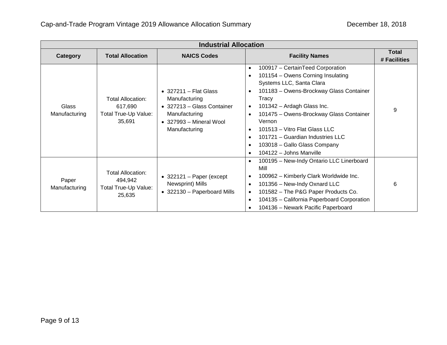| <b>Industrial Allocation</b> |                                                                       |                                                                                                                                                   |                                                                                                                                                                                                                                                                                                                                                                                                                                                                                               |                       |
|------------------------------|-----------------------------------------------------------------------|---------------------------------------------------------------------------------------------------------------------------------------------------|-----------------------------------------------------------------------------------------------------------------------------------------------------------------------------------------------------------------------------------------------------------------------------------------------------------------------------------------------------------------------------------------------------------------------------------------------------------------------------------------------|-----------------------|
| Category                     | <b>Total Allocation</b>                                               | <b>NAICS Codes</b>                                                                                                                                | <b>Facility Names</b>                                                                                                                                                                                                                                                                                                                                                                                                                                                                         | Total<br># Facilities |
| Glass<br>Manufacturing       | <b>Total Allocation:</b><br>617,690<br>Total True-Up Value:<br>35,691 | $\bullet$ 327211 - Flat Glass<br>Manufacturing<br>• 327213 - Glass Container<br>Manufacturing<br>$\bullet$ 327993 – Mineral Wool<br>Manufacturing | 100917 - CertainTeed Corporation<br>$\bullet$<br>101154 - Owens Corning Insulating<br>$\bullet$<br>Systems LLC, Santa Clara<br>101183 - Owens-Brockway Glass Container<br>$\bullet$<br>Tracy<br>101342 - Ardagh Glass Inc.<br>$\bullet$<br>101475 - Owens-Brockway Glass Container<br>$\bullet$<br>Vernon<br>101513 - Vitro Flat Glass LLC<br>$\bullet$<br>101721 - Guardian Industries LLC<br>$\bullet$<br>103018 - Gallo Glass Company<br>$\bullet$<br>104122 - Johns Manville<br>$\bullet$ | 9                     |
| Paper<br>Manufacturing       | Total Allocation:<br>494,942<br>Total True-Up Value:<br>25,635        | $\bullet$ 322121 - Paper (except<br>Newsprint) Mills<br>• 322130 - Paperboard Mills                                                               | 100195 - New-Indy Ontario LLC Linerboard<br>$\bullet$<br>Mill<br>100962 - Kimberly Clark Worldwide Inc.<br>$\bullet$<br>101356 - New-Indy Oxnard LLC<br>$\bullet$<br>101582 - The P&G Paper Products Co.<br>$\bullet$<br>104135 - California Paperboard Corporation<br>$\bullet$<br>104136 - Newark Pacific Paperboard<br>$\bullet$                                                                                                                                                           | 6                     |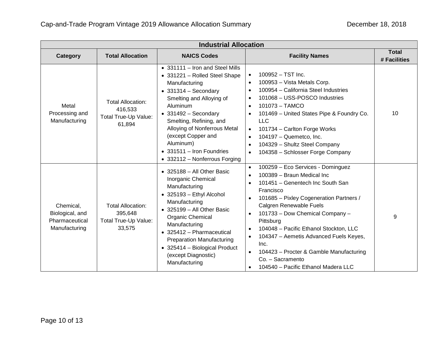| <b>Industrial Allocation</b>                                    |                                                                       |                                                                                                                                                                                                                                                                                                                                                               |                                                                                                                                                                                                                                                                                                                                                                                                                                                                                                                                                               |                              |
|-----------------------------------------------------------------|-----------------------------------------------------------------------|---------------------------------------------------------------------------------------------------------------------------------------------------------------------------------------------------------------------------------------------------------------------------------------------------------------------------------------------------------------|---------------------------------------------------------------------------------------------------------------------------------------------------------------------------------------------------------------------------------------------------------------------------------------------------------------------------------------------------------------------------------------------------------------------------------------------------------------------------------------------------------------------------------------------------------------|------------------------------|
| Category                                                        | <b>Total Allocation</b>                                               | <b>NAICS Codes</b>                                                                                                                                                                                                                                                                                                                                            | <b>Facility Names</b>                                                                                                                                                                                                                                                                                                                                                                                                                                                                                                                                         | <b>Total</b><br># Facilities |
| Metal<br>Processing and<br>Manufacturing                        | <b>Total Allocation:</b><br>416,533<br>Total True-Up Value:<br>61,894 | • 331111 - Iron and Steel Mills<br>• 331221 - Rolled Steel Shape<br>Manufacturing<br>$\bullet$ 331314 - Secondary<br>Smelting and Alloying of<br>Aluminum<br>$\bullet$ 331492 - Secondary<br>Smelting, Refining, and<br>Alloying of Nonferrous Metal<br>(except Copper and<br>Aluminum)<br>$\bullet$ 331511 - Iron Foundries<br>• 332112 - Nonferrous Forging | 100952 - TST Inc.<br>$\bullet$<br>100953 - Vista Metals Corp.<br>$\bullet$<br>100954 - California Steel Industries<br>$\bullet$<br>101068 - USS-POSCO Industries<br>$\bullet$<br>101073 - TAMCO<br>$\bullet$<br>101469 - United States Pipe & Foundry Co.<br>$\bullet$<br><b>LLC</b><br>101734 - Carlton Forge Works<br>$\bullet$<br>104197 - Quemetco, Inc.<br>104329 - Shultz Steel Company<br>$\bullet$<br>104358 - Schlosser Forge Company<br>$\bullet$                                                                                                   | 10                           |
| Chemical,<br>Biological, and<br>Pharmaceutical<br>Manufacturing | <b>Total Allocation:</b><br>395,648<br>Total True-Up Value:<br>33,575 | • 325188 - All Other Basic<br>Inorganic Chemical<br>Manufacturing<br>$\bullet$ 325193 - Ethyl Alcohol<br>Manufacturing<br>$\bullet$ 325199 - All Other Basic<br><b>Organic Chemical</b><br>Manufacturing<br>• 325412 - Pharmaceutical<br><b>Preparation Manufacturing</b><br>$\bullet$ 325414 - Biological Product<br>(except Diagnostic)<br>Manufacturing    | 100259 - Eco Services - Dominguez<br>$\bullet$<br>100389 - Braun Medical Inc<br>$\bullet$<br>101451 - Genentech Inc South San<br>$\bullet$<br>Francisco<br>101685 - Pixley Cogeneration Partners /<br>$\bullet$<br>Calgren Renewable Fuels<br>101733 - Dow Chemical Company -<br>$\bullet$<br>Pittsburg<br>104048 - Pacific Ethanol Stockton, LLC<br>$\bullet$<br>104347 - Aemetis Advanced Fuels Keyes,<br>$\bullet$<br>Inc.<br>104423 - Procter & Gamble Manufacturing<br>$\bullet$<br>Co. - Sacramento<br>104540 - Pacific Ethanol Madera LLC<br>$\bullet$ | 9                            |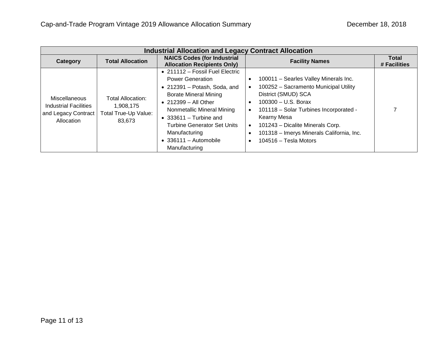| <b>Industrial Allocation and Legacy Contract Allocation</b>                 |                                                                  |                                                                                                                                                                                                                                                                                                                                      |                                                                                                                                                                                                                                                                                                          |                              |
|-----------------------------------------------------------------------------|------------------------------------------------------------------|--------------------------------------------------------------------------------------------------------------------------------------------------------------------------------------------------------------------------------------------------------------------------------------------------------------------------------------|----------------------------------------------------------------------------------------------------------------------------------------------------------------------------------------------------------------------------------------------------------------------------------------------------------|------------------------------|
| Category                                                                    | <b>Total Allocation</b>                                          | <b>NAICS Codes (for Industrial</b><br><b>Allocation Recipients Only)</b>                                                                                                                                                                                                                                                             | <b>Facility Names</b>                                                                                                                                                                                                                                                                                    | <b>Total</b><br># Facilities |
| Miscellaneous<br>Industrial Facilities<br>and Legacy Contract<br>Allocation | Total Allocation:<br>1,908,175<br>Total True-Up Value:<br>83.673 | • 211112 – Fossil Fuel Electric<br><b>Power Generation</b><br>$\bullet$ 212391 - Potash, Soda, and<br><b>Borate Mineral Mining</b><br>$\bullet$ 212399 - All Other<br>Nonmetallic Mineral Mining<br>$\bullet$ 333611 - Turbine and<br>Turbine Generator Set Units<br>Manufacturing<br>$\bullet$ 336111 - Automobile<br>Manufacturing | 100011 - Searles Valley Minerals Inc.<br>100252 - Sacramento Municipal Utility<br>District (SMUD) SCA<br>$100300 - U.S.$ Borax<br>٠<br>101118 - Solar Turbines Incorporated -<br>Kearny Mesa<br>101243 - Dicalite Minerals Corp.<br>101318 - Imerys Minerals California, Inc.<br>$104516 - Tesla$ Motors |                              |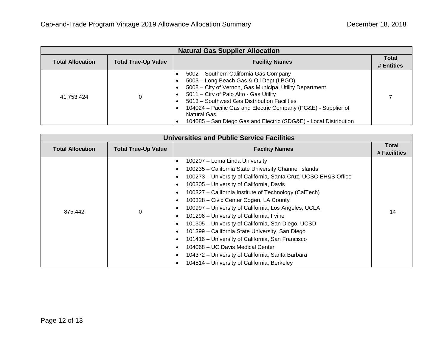| <b>Natural Gas Supplier Allocation</b> |                            |                                                                                                                                                                                                                                                                                                                                                                                                                                 |                            |
|----------------------------------------|----------------------------|---------------------------------------------------------------------------------------------------------------------------------------------------------------------------------------------------------------------------------------------------------------------------------------------------------------------------------------------------------------------------------------------------------------------------------|----------------------------|
| <b>Total Allocation</b>                | <b>Total True-Up Value</b> | <b>Facility Names</b>                                                                                                                                                                                                                                                                                                                                                                                                           | <b>Total</b><br># Entities |
| 41,753,424                             |                            | 5002 - Southern California Gas Company<br>5003 - Long Beach Gas & Oil Dept (LBGO)<br>٠<br>5008 - City of Vernon, Gas Municipal Utility Department<br>$\bullet$<br>5011 - City of Palo Alto - Gas Utility<br>$\bullet$<br>5013 - Southwest Gas Distribution Facilities<br>٠<br>104024 – Pacific Gas and Electric Company (PG&E) - Supplier of<br>Natural Gas<br>104085 - San Diego Gas and Electric (SDG&E) - Local Distribution |                            |

| <b>Universities and Public Service Facilities</b> |                            |                                                                                                                                                                                                                                                                                                                                                                                                                                                                                                                                                                                                                                                                                                                                                                                                                                                                                                         |                       |
|---------------------------------------------------|----------------------------|---------------------------------------------------------------------------------------------------------------------------------------------------------------------------------------------------------------------------------------------------------------------------------------------------------------------------------------------------------------------------------------------------------------------------------------------------------------------------------------------------------------------------------------------------------------------------------------------------------------------------------------------------------------------------------------------------------------------------------------------------------------------------------------------------------------------------------------------------------------------------------------------------------|-----------------------|
| <b>Total Allocation</b>                           | <b>Total True-Up Value</b> | <b>Facility Names</b>                                                                                                                                                                                                                                                                                                                                                                                                                                                                                                                                                                                                                                                                                                                                                                                                                                                                                   | Total<br># Facilities |
| 875,442                                           | 0                          | 100207 - Loma Linda University<br>$\bullet$<br>100235 - California State University Channel Islands<br>$\bullet$<br>100273 - University of California, Santa Cruz, UCSC EH&S Office<br>$\bullet$<br>100305 - University of California, Davis<br>$\bullet$<br>100327 - California Institute of Technology (CalTech)<br>$\bullet$<br>100328 - Civic Center Cogen, LA County<br>$\bullet$<br>100997 - University of California, Los Angeles, UCLA<br>$\bullet$<br>101296 - University of California, Irvine<br>$\bullet$<br>101305 - University of California, San Diego, UCSD<br>$\bullet$<br>101399 - California State University, San Diego<br>$\bullet$<br>101416 - University of California, San Francisco<br>$\bullet$<br>104068 - UC Davis Medical Center<br>$\bullet$<br>104372 - University of California, Santa Barbara<br>$\bullet$<br>104514 - University of California, Berkeley<br>$\bullet$ | 14                    |